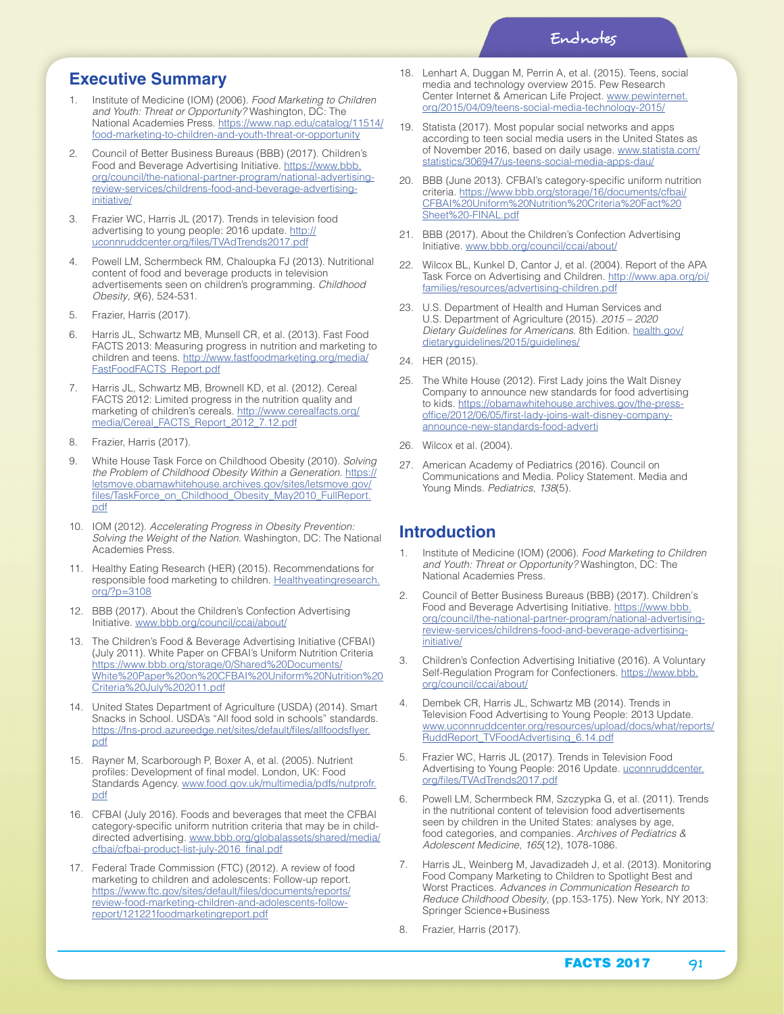### **Executive Summary**

- 1. Institute of Medicine (IOM) (2006). *Food Marketing to Children and Youth: Threat or Opportunity?* Washington, DC: The National Academies Press. https://www.nap.edu/catalog/11514/ food-marketing-to-children-and-youth-threat-or-opportunity
- 2. Council of Better Business Bureaus (BBB) (2017). Children's Food and Beverage Advertising Initiative. https://www.bbb. org/council/the-national-partner-program/national-advertisingreview-services/childrens-food-and-beverage-advertisinginitiative/
- 3. Frazier WC, Harris JL (2017). Trends in television food advertising to young people: 2016 update. http:// uconnruddcenter.org/files/TVAdTrends2017.pdf
- 4. Powell LM, Schermbeck RM, Chaloupka FJ (2013). Nutritional content of food and beverage products in television advertisements seen on children's programming. *Childhood Obesity, 9*(6), 524-531.
- 5. Frazier, Harris (2017).
- 6. Harris JL, Schwartz MB, Munsell CR, et al. (2013). Fast Food FACTS 2013: Measuring progress in nutrition and marketing to children and teens. http://www.fastfoodmarketing.org/media/ FastFoodFACTS\_Report.pdf
- Harris JL, Schwartz MB, Brownell KD, et al. (2012). Cereal FACTS 2012: Limited progress in the nutrition quality and marketing of children's cereals. http://www.cerealfacts.org/ media/Cereal\_FACTS\_Report\_2012\_7.12.pdf
- 8. Frazier, Harris (2017).
- 9. White House Task Force on Childhood Obesity (2010). *Solving the Problem of Childhood Obesity Within a Generation*. https:// letsmove.obamawhitehouse.archives.gov/sites/letsmove.gov/ files/TaskForce\_on\_Childhood\_Obesity\_May2010\_FullReport. pdf
- 10. IOM (2012). *Accelerating Progress in Obesity Prevention: Solving the Weight of the Nation*. Washington, DC: The National Academies Press.
- 11. Healthy Eating Research (HER) (2015). Recommendations for responsible food marketing to children. Healthyeatingresearch. org/?p=3108
- 12. BBB (2017). About the Children's Confection Advertising Initiative. www.bbb.org/council/ccai/about/
- 13. The Children's Food & Beverage Advertising Initiative (CFBAI) (July 2011). White Paper on CFBAI's Uniform Nutrition Criteria https://www.bbb.org/storage/0/Shared%20Documents/ White%20Paper%20on%20CFBAI%20Uniform%20Nutrition%20 Criteria%20July%202011.pdf
- 14. United States Department of Agriculture (USDA) (2014). Smart Snacks in School. USDA's "All food sold in schools" standards. https://fns-prod.azureedge.net/sites/default/files/allfoodsflyer. pdf
- 15. Rayner M, Scarborough P, Boxer A, et al. (2005). Nutrient profiles: Development of final model. London, UK: Food Standards Agency. www.food.gov.uk/multimedia/pdfs/nutprofr. pdf
- 16. CFBAI (July 2016). Foods and beverages that meet the CFBAI category-specific uniform nutrition criteria that may be in childdirected advertising. www.bbb.org/globalassets/shared/media/ cfbai/cfbai-product-list-july-2016\_final.pdf
- 17. Federal Trade Commission (FTC) (2012). A review of food marketing to children and adolescents: Follow-up report. https://www.ftc.gov/sites/default/files/documents/reports/ review-food-marketing-children-and-adolescents-followreport/121221foodmarketingreport.pdf
- 18. Lenhart A, Duggan M, Perrin A, et al. (2015). Teens, social media and technology overview 2015. Pew Research Center Internet & American Life Project. www.pewinternet. org/2015/04/09/teens-social-media-technology-2015/
- 19. Statista (2017). Most popular social networks and apps according to teen social media users in the United States as of November 2016, based on daily usage. www.statista.com/ statistics/306947/us-teens-social-media-apps-dau/
- 20. BBB (June 2013). CFBAI's category-specific uniform nutrition criteria. https://www.bbb.org/storage/16/documents/cfbai/ CFBAI%20Uniform%20Nutrition%20Criteria%20Fact%20 Sheet%20-FINAL.pdf
- 21. BBB (2017). About the Children's Confection Advertising Initiative. www.bbb.org/council/ccai/about/
- 22. Wilcox BL, Kunkel D, Cantor J, et al. (2004). Report of the APA Task Force on Advertising and Children. http://www.apa.org/pi/ families/resources/advertising-children.pdf
- 23. U.S. Department of Health and Human Services and U.S. Department of Agriculture (2015). *2015 – 2020 Dietary Guidelines for Americans*. 8th Edition. health.gov/ dietaryguidelines/2015/guidelines/
- 24. HER (2015).
- 25. The White House (2012). First Lady joins the Walt Disney Company to announce new standards for food advertising to kids. https://obamawhitehouse.archives.gov/the-pressoffice/2012/06/05/first-lady-joins-walt-disney-companyannounce-new-standards-food-adverti
- 26. Wilcox et al. (2004).
- 27. American Academy of Pediatrics (2016). Council on Communications and Media. Policy Statement. Media and Young Minds. *Pediatrics*, *138*(5).

#### **Introduction**

- 1. Institute of Medicine (IOM) (2006). *Food Marketing to Children and Youth: Threat or Opportunity?* Washington, DC: The National Academies Press.
- 2. Council of Better Business Bureaus (BBB) (2017). Children's Food and Beverage Advertising Initiative. https://www.bbb. org/council/the-national-partner-program/national-advertisingreview-services/childrens-food-and-beverage-advertisinginitiative/
- 3. Children's Confection Advertising Initiative (2016). A Voluntary Self-Regulation Program for Confectioners. https://www.bbb. org/council/ccai/about/
- 4. Dembek CR, Harris JL, Schwartz MB (2014). Trends in Television Food Advertising to Young People: 2013 Update. www.uconnruddcenter.org/resources/upload/docs/what/reports/ RuddReport\_TVFoodAdvertising\_6.14.pdf
- 5. Frazier WC, Harris JL (2017). Trends in Television Food Advertising to Young People: 2016 Update. uconnruddcenter. org/files/TVAdTrends2017.pdf
- 6. Powell LM, Schermbeck RM, Szczypka G, et al. (2011). Trends in the nutritional content of television food advertisements seen by children in the United States: analyses by age, food categories, and companies. *Archives of Pediatrics & Adolescent Medicine*, *165*(12), 1078-1086.
- 7. Harris JL, Weinberg M, Javadizadeh J, et al. (2013). Monitoring Food Company Marketing to Children to Spotlight Best and Worst Practices. *Advances in Communication Research to Reduce Childhood Obesity*, (pp.153-175). New York, NY 2013: Springer Science+Business
- 8. Frazier, Harris (2017).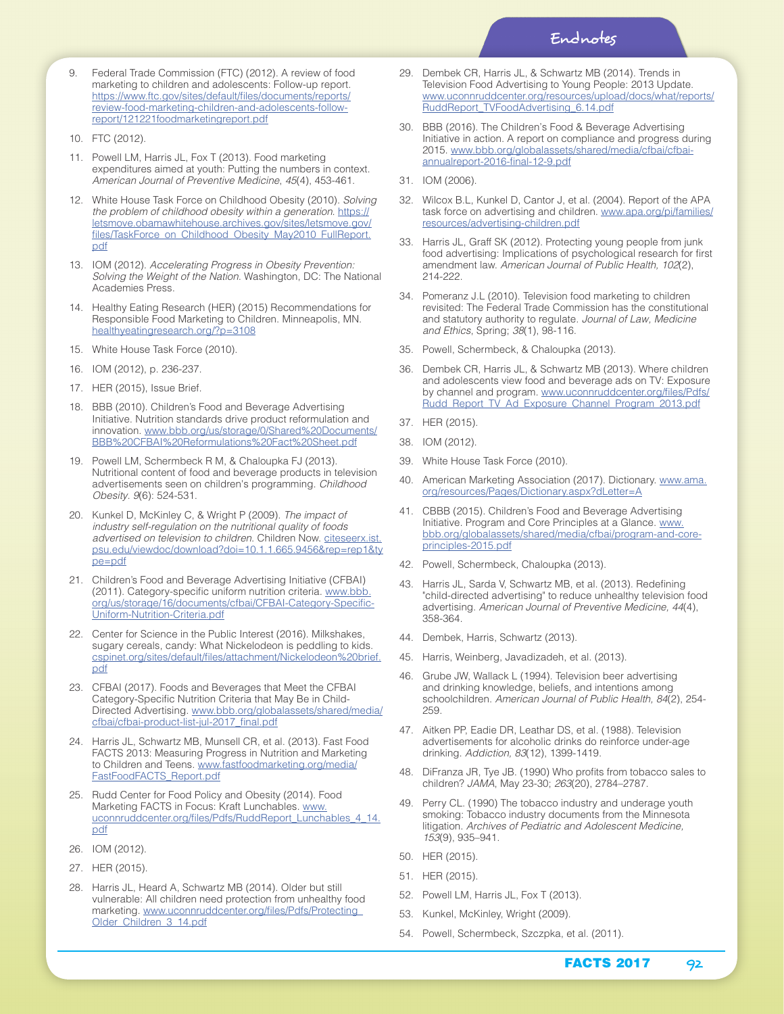- 9. Federal Trade Commission (FTC) (2012). A review of food marketing to children and adolescents: Follow-up report. https://www.ftc.gov/sites/default/files/documents/reports/ review-food-marketing-children-and-adolescents-followreport/121221foodmarketingreport.pdf
- 10. FTC (2012).
- 11. Powell LM, Harris JL, Fox T (2013). Food marketing expenditures aimed at youth: Putting the numbers in context. *American Journal of Preventive Medicine*, *45*(4), 453-461.
- 12. White House Task Force on Childhood Obesity (2010). *Solving the problem of childhood obesity within a generation*. https:// letsmove.obamawhitehouse.archives.gov/sites/letsmove.gov/ files/TaskForce\_on\_Childhood\_Obesity\_May2010\_FullReport. pdf
- 13. IOM (2012). *Accelerating Progress in Obesity Prevention: Solving the Weight of the Nation*. Washington, DC: The National Academies Press.
- 14. Healthy Eating Research (HER) (2015) Recommendations for Responsible Food Marketing to Children. Minneapolis, MN. healthyeatingresearch.org/?p=3108
- 15. White House Task Force (2010).
- 16. IOM (2012), p. 236-237.
- 17. HER (2015), Issue Brief.
- 18. BBB (2010). Children's Food and Beverage Advertising Initiative. Nutrition standards drive product reformulation and innovation. www.bbb.org/us/storage/0/Shared%20Documents/ BBB%20CFBAI%20Reformulations%20Fact%20Sheet.pdf
- 19. Powell LM, Schermbeck R M, & Chaloupka FJ (2013). Nutritional content of food and beverage products in television advertisements seen on children's programming. *Childhood Obesity*. *9*(6): 524-531.
- 20. Kunkel D, McKinley C, & Wright P (2009). *The impact of industry self-regulation on the nutritional quality of foods advertised on television to children*. Children Now. citeseerx.ist. psu.edu/viewdoc/download?doi=10.1.1.665.9456&rep=rep1&ty pe=pdf
- 21. Children's Food and Beverage Advertising Initiative (CFBAI) (2011). Category-specific uniform nutrition criteria. www.bbb. org/us/storage/16/documents/cfbai/CFBAI-Category-Specific-Uniform-Nutrition-Criteria.pdf
- 22. Center for Science in the Public Interest (2016). Milkshakes, sugary cereals, candy: What Nickelodeon is peddling to kids. cspinet.org/sites/default/files/attachment/Nickelodeon%20brief. pdf
- 23. CFBAI (2017). Foods and Beverages that Meet the CFBAI Category-Specific Nutrition Criteria that May Be in Child-Directed Advertising. www.bbb.org/globalassets/shared/media/ cfbai/cfbai-product-list-jul-2017\_final.pdf
- 24. Harris JL, Schwartz MB, Munsell CR, et al. (2013). Fast Food FACTS 2013: Measuring Progress in Nutrition and Marketing to Children and Teens. www.fastfoodmarketing.org/media/ FastFoodFACTS\_Report.pdf
- 25. Rudd Center for Food Policy and Obesity (2014). Food Marketing FACTS in Focus: Kraft Lunchables. www. uconnruddcenter.org/files/Pdfs/RuddReport\_Lunchables\_4\_14. pdf
- 26. IOM (2012).
- 27. HER (2015).
- 28. Harris JL, Heard A, Schwartz MB (2014). Older but still vulnerable: All children need protection from unhealthy food marketing. www.uconnruddcenter.org/files/Pdfs/Protecting\_ Older\_Children\_3\_14.pdf
- 29. Dembek CR, Harris JL, & Schwartz MB (2014). Trends in Television Food Advertising to Young People: 2013 Update. www.uconnruddcenter.org/resources/upload/docs/what/reports/ RuddReport\_TVFoodAdvertising\_6.14.pdf
- 30. BBB (2016). The Children's Food & Beverage Advertising Initiative in action. A report on compliance and progress during 2015. www.bbb.org/globalassets/shared/media/cfbai/cfbaiannualreport-2016-final-12-9.pdf
- 31. IOM (2006).
- 32. Wilcox B.L, Kunkel D, Cantor J, et al. (2004). Report of the APA task force on advertising and children. www.apa.org/pi/families/ resources/advertising-children.pdf
- 33. Harris JL, Graff SK (2012). Protecting young people from junk food advertising: Implications of psychological research for first amendment law. *American Journal of Public Health, 102*(2), 214-222.
- 34. Pomeranz J.L (2010). Television food marketing to children revisited: The Federal Trade Commission has the constitutional and statutory authority to regulate. *Journal of Law, Medicine and Ethics*, Spring; *38*(1), 98-116.
- 35. Powell, Schermbeck, & Chaloupka (2013).
- 36. Dembek CR, Harris JL, & Schwartz MB (2013). Where children and adolescents view food and beverage ads on TV: Exposure by channel and program. www.uconnruddcenter.org/files/Pdfs/ Rudd\_Report\_TV\_Ad\_Exposure\_Channel\_Program\_2013.pdf
- 37. HER (2015).
- 38. IOM (2012).
- 39. White House Task Force (2010).
- 40. American Marketing Association (2017). Dictionary. www.ama. org/resources/Pages/Dictionary.aspx?dLetter=A
- 41. CBBB (2015). Children's Food and Beverage Advertising Initiative. Program and Core Principles at a Glance. www. bbb.org/globalassets/shared/media/cfbai/program-and-coreprinciples-2015.pdf
- 42. Powell, Schermbeck, Chaloupka (2013).
- 43. Harris JL, Sarda V, Schwartz MB, et al. (2013). Redefining "child-directed advertising" to reduce unhealthy television food advertising. *American Journal of Preventive Medicine, 44*(4), 358-364.
- 44. Dembek, Harris, Schwartz (2013).
- 45. Harris, Weinberg, Javadizadeh, et al. (2013).
- 46. Grube JW, Wallack L (1994). Television beer advertising and drinking knowledge, beliefs, and intentions among schoolchildren. *American Journal of Public Health, 84*(2), 254- 259.
- 47. Aitken PP, Eadie DR, Leathar DS, et al. (1988). Television advertisements for alcoholic drinks do reinforce under-age drinking. *Addiction, 83*(12), 1399-1419.
- 48. DiFranza JR, Tye JB. (1990) Who profits from tobacco sales to children? *JAMA*, May 23-30; *263*(20), 2784–2787.
- 49. Perry CL. (1990) The tobacco industry and underage youth smoking: Tobacco industry documents from the Minnesota litigation. *Archives of Pediatric and Adolescent Medicine, 153*(9), 935–941.
- 50. HER (2015).
- 51. HER (2015).
- 52. Powell LM, Harris JL, Fox T (2013).
- 53. Kunkel, McKinley, Wright (2009).
- 54. Powell, Schermbeck, Szczpka, et al. (2011).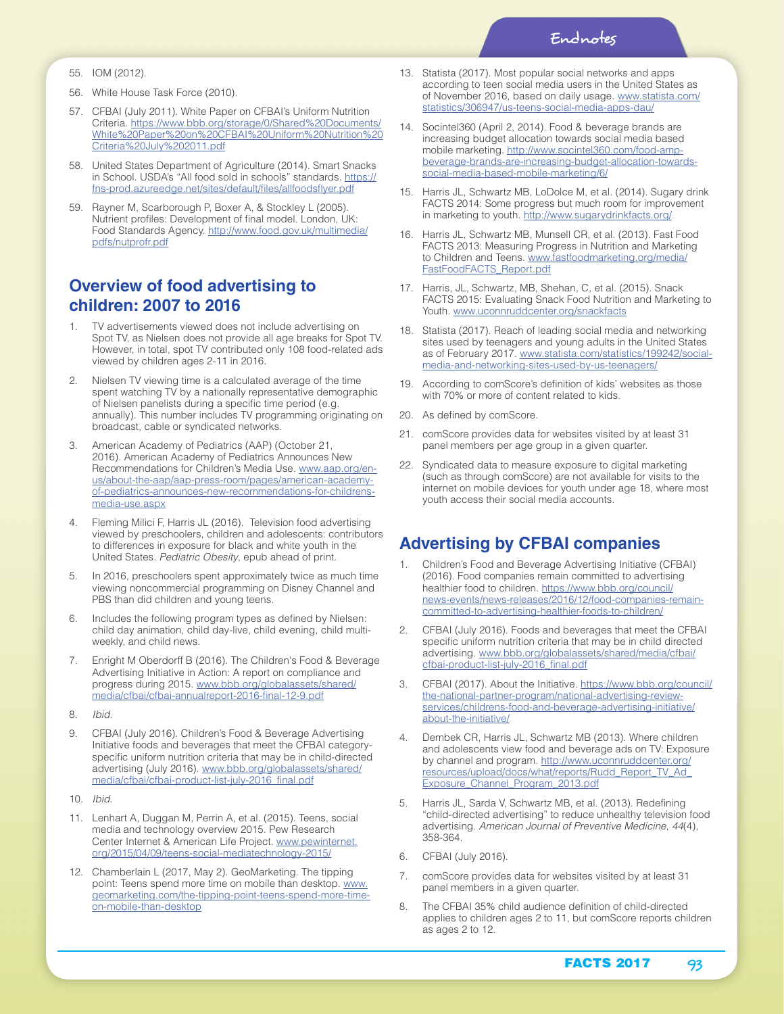- 55. IOM (2012).
- 56. White House Task Force (2010).
- 57. CFBAI (July 2011). White Paper on CFBAI's Uniform Nutrition Criteria. https://www.bbb.org/storage/0/Shared%20Documents/ White%20Paper%20on%20CFBAI%20Uniform%20Nutrition%20 Criteria%20July%202011.pdf
- 58. United States Department of Agriculture (2014). Smart Snacks in School. USDA's "All food sold in schools" standards. https:// fns-prod.azureedge.net/sites/default/files/allfoodsflyer.pdf
- 59. Rayner M, Scarborough P, Boxer A, & Stockley L (2005). Nutrient profiles: Development of final model. London, UK: Food Standards Agency. http://www.food.gov.uk/multimedia/ pdfs/nutprofr.pdf

### **Overview of food advertising to children: 2007 to 2016**

- 1. TV advertisements viewed does not include advertising on Spot TV, as Nielsen does not provide all age breaks for Spot TV. However, in total, spot TV contributed only 108 food-related ads viewed by children ages 2-11 in 2016.
- 2. Nielsen TV viewing time is a calculated average of the time spent watching TV by a nationally representative demographic of Nielsen panelists during a specific time period (e.g. annually). This number includes TV programming originating on broadcast, cable or syndicated networks.
- American Academy of Pediatrics (AAP) (October 21, 2016). American Academy of Pediatrics Announces New Recommendations for Children's Media Use. www.aap.org/enus/about-the-aap/aap-press-room/pages/american-academyof-pediatrics-announces-new-recommendations-for-childrensmedia-use.aspx
- 4. Fleming Milici F, Harris JL (2016). Television food advertising viewed by preschoolers, children and adolescents: contributors to differences in exposure for black and white youth in the United States. *Pediatric Obesity*, epub ahead of print.
- 5. In 2016, preschoolers spent approximately twice as much time viewing noncommercial programming on Disney Channel and PBS than did children and young teens.
- 6. Includes the following program types as defined by Nielsen: child day animation, child day-live, child evening, child multiweekly, and child news.
- 7. Enright M Oberdorff B (2016). The Children's Food & Beverage Advertising Initiative in Action: A report on compliance and progress during 2015. www.bbb.org/globalassets/shared/ media/cfbai/cfbai-annualreport-2016-final-12-9.pdf
- 8. *Ibid*.
- 9. CFBAI (July 2016). Children's Food & Beverage Advertising Initiative foods and beverages that meet the CFBAI categoryspecific uniform nutrition criteria that may be in child-directed advertising (July 2016). www.bbb.org/globalassets/shared/ media/cfbai/cfbai-product-list-july-2016\_final.pdf
- 10. *Ibid*.
- 11. Lenhart A, Duggan M, Perrin A, et al. (2015). Teens, social media and technology overview 2015. Pew Research Center Internet & American Life Project. www.pewinternet. org/2015/04/09/teens-social-mediatechnology-2015/
- 12. Chamberlain L (2017, May 2). GeoMarketing. The tipping point: Teens spend more time on mobile than desktop. www. geomarketing.com/the-tipping-point-teens-spend-more-timeon-mobile-than-desktop
- 13. Statista (2017). Most popular social networks and apps according to teen social media users in the United States as of November 2016, based on daily usage. www.statista.com/ statistics/306947/us-teens-social-media-apps-dau/
- 14. Socintel360 (April 2, 2014). Food & beverage brands are increasing budget allocation towards social media based mobile marketing. http://www.socintel360.com/food-ampbeverage-brands-are-increasing-budget-allocation-towardssocial-media-based-mobile-marketing/6/
- 15. Harris JL, Schwartz MB, LoDolce M, et al. (2014). Sugary drink FACTS 2014: Some progress but much room for improvement in marketing to youth. http://www.sugarydrinkfacts.org/
- 16. Harris JL, Schwartz MB, Munsell CR, et al. (2013). Fast Food FACTS 2013: Measuring Progress in Nutrition and Marketing to Children and Teens. www.fastfoodmarketing.org/media/ FastFoodFACTS\_Report.pdf
- 17. Harris, JL, Schwartz, MB, Shehan, C, et al. (2015). Snack FACTS 2015: Evaluating Snack Food Nutrition and Marketing to Youth. www.uconnruddcenter.org/snackfacts
- 18. Statista (2017). Reach of leading social media and networking sites used by teenagers and young adults in the United States as of February 2017. www.statista.com/statistics/199242/socialmedia-and-networking-sites-used-by-us-teenagers/
- 19. According to comScore's definition of kids' websites as those with 70% or more of content related to kids.
- 20. As defined by comScore.
- 21. comScore provides data for websites visited by at least 31 panel members per age group in a given quarter.
- 22. Syndicated data to measure exposure to digital marketing (such as through comScore) are not available for visits to the internet on mobile devices for youth under age 18, where most youth access their social media accounts.

## **Advertising by CFBAI companies**

- 1. Children's Food and Beverage Advertising Initiative (CFBAI) (2016). Food companies remain committed to advertising healthier food to children. https://www.bbb.org/council/ news-events/news-releases/2016/12/food-companies-remaincommitted-to-advertising-healthier-foods-to-children/
- 2. CFBAI (July 2016). Foods and beverages that meet the CFBAI specific uniform nutrition criteria that may be in child directed advertising. www.bbb.org/globalassets/shared/media/cfbai/ cfbai-product-list-july-2016\_final.pdf
- 3. CFBAI (2017). About the Initiative. https://www.bbb.org/council/ the-national-partner-program/national-advertising-reviewservices/childrens-food-and-beverage-advertising-initiative/ about-the-initiative/
- 4. Dembek CR, Harris JL, Schwartz MB (2013). Where children and adolescents view food and beverage ads on TV: Exposure by channel and program. http://www.uconnruddcenter.org/ resources/upload/docs/what/reports/Rudd\_Report\_TV\_Ad\_ Exposure\_Channel\_Program\_2013.pdf
- 5. Harris JL, Sarda V, Schwartz MB, et al. (2013). Redefining "child-directed advertising" to reduce unhealthy television food advertising. *American Journal of Preventive Medicine*, *44*(4), 358-364.
- 6. CFBAI (July 2016).
- 7. comScore provides data for websites visited by at least 31 panel members in a given quarter.
- 8. The CFBAI 35% child audience definition of child-directed applies to children ages 2 to 11, but comScore reports children as ages 2 to 12.

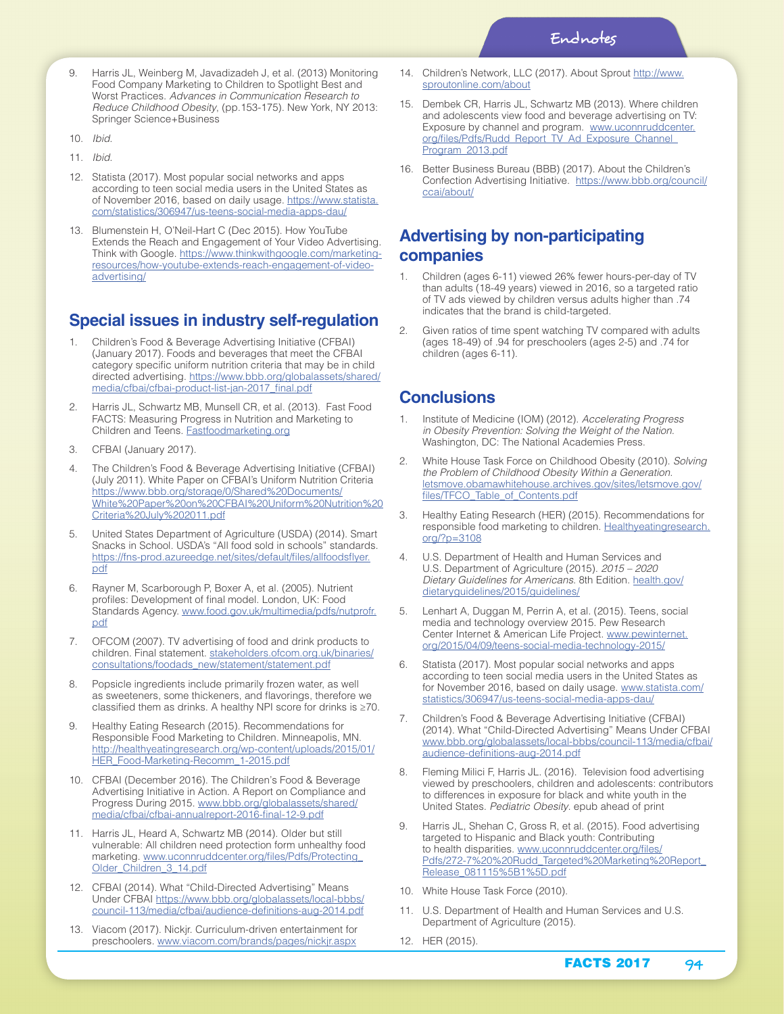- 9. Harris JL, Weinberg M, Javadizadeh J, et al. (2013) Monitoring Food Company Marketing to Children to Spotlight Best and Worst Practices. *Advances in Communication Research to Reduce Childhood Obesity*, (pp.153-175). New York, NY 2013: Springer Science+Business
- 10. *Ibid*.
- 11. *Ibid*.
- 12. Statista (2017). Most popular social networks and apps according to teen social media users in the United States as of November 2016, based on daily usage. https://www.statista. com/statistics/306947/us-teens-social-media-apps-dau/
- 13. Blumenstein H, O'Neil-Hart C (Dec 2015). How YouTube Extends the Reach and Engagement of Your Video Advertising. Think with Google. https://www.thinkwithgoogle.com/marketingresources/how-youtube-extends-reach-engagement-of-videoadvertising/

# **Special issues in industry self-regulation**

- 1. Children's Food & Beverage Advertising Initiative (CFBAI) (January 2017). Foods and beverages that meet the CFBAI category specific uniform nutrition criteria that may be in child directed advertising. https://www.bbb.org/globalassets/shared/ media/cfbai/cfbai-product-list-jan-2017\_final.pdf
- 2. Harris JL, Schwartz MB, Munsell CR, et al. (2013). Fast Food FACTS: Measuring Progress in Nutrition and Marketing to Children and Teens. Fastfoodmarketing.org
- 3. CFBAI (January 2017).
- 4. The Children's Food & Beverage Advertising Initiative (CFBAI) (July 2011). White Paper on CFBAI's Uniform Nutrition Criteria https://www.bbb.org/storage/0/Shared%20Documents/ White%20Paper%20on%20CFBAI%20Uniform%20Nutrition%20 Criteria%20July%202011.pdf
- 5. United States Department of Agriculture (USDA) (2014). Smart Snacks in School. USDA's "All food sold in schools" standards. https://fns-prod.azureedge.net/sites/default/files/allfoodsflyer. pdf
- 6. Rayner M, Scarborough P, Boxer A, et al. (2005). Nutrient profiles: Development of final model. London, UK: Food Standards Agency. www.food.gov.uk/multimedia/pdfs/nutprofr. pdf
- OFCOM (2007). TV advertising of food and drink products to children. Final statement. stakeholders.ofcom.org.uk/binaries/ consultations/foodads\_new/statement/statement.pdf
- 8. Popsicle ingredients include primarily frozen water, as well as sweeteners, some thickeners, and flavorings, therefore we classified them as drinks. A healthy NPI score for drinks is ≥70.
- Healthy Eating Research (2015). Recommendations for Responsible Food Marketing to Children. Minneapolis, MN. http://healthyeatingresearch.org/wp-content/uploads/2015/01/ HER\_Food-Marketing-Recomm\_1-2015.pdf
- 10. CFBAI (December 2016). The Children's Food & Beverage Advertising Initiative in Action. A Report on Compliance and Progress During 2015. www.bbb.org/globalassets/shared/ media/cfbai/cfbai-annualreport-2016-final-12-9.pdf
- 11. Harris JL, Heard A, Schwartz MB (2014). Older but still vulnerable: All children need protection form unhealthy food marketing. www.uconnruddcenter.org/files/Pdfs/Protecting\_ Older\_Children\_3\_14.pdf
- 12. CFBAI (2014). What "Child-Directed Advertising" Means Under CFBAI https://www.bbb.org/globalassets/local-bbbs/ council-113/media/cfbai/audience-definitions-aug-2014.pdf
- 13. Viacom (2017). Nickjr. Curriculum-driven entertainment for preschoolers. www.viacom.com/brands/pages/nickjr.aspx
- 14. Children's Network, LLC (2017). About Sprout http://www. sproutonline.com/about
- 15. Dembek CR, Harris JL, Schwartz MB (2013). Where children and adolescents view food and beverage advertising on TV: Exposure by channel and program. www.uconnruddcenter. org/files/Pdfs/Rudd\_Report\_TV\_Ad\_Exposure\_Channel\_ Program\_2013.pdf
- 16. Better Business Bureau (BBB) (2017). About the Children's Confection Advertising Initiative. https://www.bbb.org/council/ ccai/about/

# **Advertising by non-participating companies**

- 1. Children (ages 6-11) viewed 26% fewer hours-per-day of TV than adults (18-49 years) viewed in 2016, so a targeted ratio of TV ads viewed by children versus adults higher than .74 indicates that the brand is child-targeted.
- 2. Given ratios of time spent watching TV compared with adults (ages 18-49) of .94 for preschoolers (ages 2-5) and .74 for children (ages 6-11).

### **Conclusions**

- 1. Institute of Medicine (IOM) (2012). *Accelerating Progress in Obesity Prevention: Solving the Weight of the Nation*. Washington, DC: The National Academies Press.
- 2. White House Task Force on Childhood Obesity (2010). *Solving the Problem of Childhood Obesity Within a Generation*. letsmove.obamawhitehouse.archives.gov/sites/letsmove.gov/ files/TFCO\_Table\_of\_Contents.pdf
- 3. Healthy Eating Research (HER) (2015). Recommendations for responsible food marketing to children. Healthyeatingresearch. org/?p=3108
- 4. U.S. Department of Health and Human Services and U.S. Department of Agriculture (2015). *2015 – 2020 Dietary Guidelines for Americans*. 8th Edition. health.gov/ dietaryguidelines/2015/guidelines/
- 5. Lenhart A, Duggan M, Perrin A, et al. (2015). Teens, social media and technology overview 2015. Pew Research Center Internet & American Life Project. www.pewinternet. org/2015/04/09/teens-social-media-technology-2015/
- 6. Statista (2017). Most popular social networks and apps according to teen social media users in the United States as for November 2016, based on daily usage. www.statista.com/ statistics/306947/us-teens-social-media-apps-dau/
- 7. Children's Food & Beverage Advertising Initiative (CFBAI) (2014). What "Child-Directed Advertising" Means Under CFBAI www.bbb.org/globalassets/local-bbbs/council-113/media/cfbai/ audience-definitions-aug-2014.pdf
- 8. Fleming Milici F, Harris JL. (2016). Television food advertising viewed by preschoolers, children and adolescents: contributors to differences in exposure for black and white youth in the United States. *Pediatric Obesity*. epub ahead of print
- 9. Harris JL, Shehan C, Gross R, et al. (2015). Food advertising targeted to Hispanic and Black youth: Contributing to health disparities. www.uconnruddcenter.org/files/ Pdfs/272-7%20%20Rudd\_Targeted%20Marketing%20Report\_ Release\_081115%5B1%5D.pdf
- 10. White House Task Force (2010).
- 11. U.S. Department of Health and Human Services and U.S. Department of Agriculture (2015).
- 12. HER (2015).